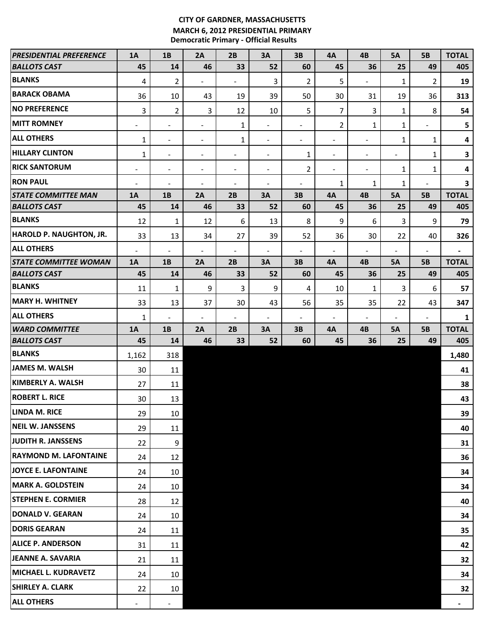## **CITY OF GARDNER, MASSACHUSETTS MARCH 6, 2012 PRESIDENTIAL PRIMARY Democratic Primary - Official Results**

| <b>PRESIDENTIAL PREFERENCE</b> | <b>1A</b>                | 1B                           | 2A                       | 2B                       | 3A                       | 3B                       | <b>4A</b>                | 4B                       | <b>5A</b>                | <b>5B</b>                    | <b>TOTAL</b>   |
|--------------------------------|--------------------------|------------------------------|--------------------------|--------------------------|--------------------------|--------------------------|--------------------------|--------------------------|--------------------------|------------------------------|----------------|
| <b>BALLOTS CAST</b>            | 45                       | 14                           | 46                       | 33                       | 52                       | 60                       | 45                       | 36                       | 25                       | 49                           | 405            |
| <b>BLANKS</b>                  | 4                        | $\overline{2}$               | $\blacksquare$           | $\frac{1}{2}$            | 3                        | $\overline{2}$           | 5                        | $\blacksquare$           | 1                        | $\overline{2}$               | 19             |
| <b>BARACK OBAMA</b>            | 36                       | 10                           | 43                       | 19                       | 39                       | 50                       | 30                       | 31                       | 19                       | 36                           | 313            |
| <b>INO PREFERENCE</b>          | 3                        | $2^{\circ}$                  | 3                        | 12                       | 10                       | 5                        | $\overline{7}$           | 3                        | 1                        | 8                            | 54             |
| <b>MITT ROMNEY</b>             | $\blacksquare$           | $\blacksquare$               | $\overline{\phantom{a}}$ | 1                        | $\overline{\phantom{a}}$ | $\blacksquare$           | 2                        | 1                        | $\mathbf{1}$             | $\blacksquare$               | 5              |
| <b>ALL OTHERS</b>              | 1                        | $\blacksquare$               | $\overline{\phantom{a}}$ | 1                        | $\overline{\phantom{a}}$ | $\blacksquare$           | $\overline{\phantom{a}}$ | $\overline{\phantom{a}}$ | 1                        | 1                            | 4              |
| <b>HILLARY CLINTON</b>         | 1                        | $\overline{\phantom{a}}$     | $\overline{\phantom{a}}$ | $\overline{\phantom{a}}$ | $\overline{\phantom{a}}$ | 1                        | $\overline{\phantom{a}}$ | $\blacksquare$           | $\blacksquare$           | $\mathbf{1}$                 | $\mathbf{3}$   |
| <b>RICK SANTORUM</b>           | $\blacksquare$           | $\sim$                       | $\overline{\phantom{a}}$ | $\overline{\phantom{a}}$ | $\overline{\phantom{a}}$ | $\overline{2}$           | $\overline{\phantom{a}}$ | $\blacksquare$           | 1                        | 1                            | 4              |
| <b>RON PAUL</b>                | $\overline{\phantom{a}}$ | $\blacksquare$               | $\overline{\phantom{a}}$ | $\overline{a}$           | $\overline{\phantom{a}}$ | $\overline{\phantom{a}}$ | 1                        | 1                        | 1                        | $\qquad \qquad \blacksquare$ | $\mathbf{3}$   |
| <b>STATE COMMITTEE MAN</b>     | 1A                       | 1B                           | 2A                       | 2B                       | 3A                       | 3B                       | <b>4A</b>                | 4B                       | <b>5A</b>                | <b>5B</b>                    | <b>TOTAL</b>   |
| <b>BALLOTS CAST</b>            | 45                       | 14                           | 46                       | 33                       | 52                       | 60                       | 45                       | 36                       | 25                       | 49                           | 405            |
| <b>BLANKS</b>                  | 12                       | $\mathbf{1}$                 | 12                       | 6                        | 13                       | 8                        | 9                        | 6                        | 3                        | 9                            | 79             |
| <b>HAROLD P. NAUGHTON, JR.</b> | 33                       | 13                           | 34                       | 27                       | 39                       | 52                       | 36                       | 30                       | 22                       | 40                           | 326            |
| <b>ALL OTHERS</b>              | $\overline{\phantom{a}}$ | $\blacksquare$               | $\overline{\phantom{a}}$ | $\overline{a}$           | $\overline{\phantom{a}}$ | $\blacksquare$           | $\blacksquare$           | $\overline{\phantom{a}}$ | $\overline{a}$           | $\overline{\phantom{a}}$     | $\blacksquare$ |
| <b>STATE COMMITTEE WOMAN</b>   | 1A                       | 1B                           | 2A                       | 2B                       | 3A                       | 3B                       | <b>4A</b>                | 4B                       | <b>5A</b>                | <b>5B</b>                    | <b>TOTAL</b>   |
| <b>BALLOTS CAST</b>            | 45                       | 14                           | 46                       | 33                       | 52                       | 60                       | 45                       | 36                       | 25                       | 49                           | 405            |
| <b>BLANKS</b>                  | 11                       | $\mathbf{1}$                 | $9\,$                    | 3                        | 9                        | 4                        | 10                       | $\mathbf{1}$             | 3                        | 6                            | 57             |
| <b>MARY H. WHITNEY</b>         | 33                       | 13                           | 37                       | 30                       | 43                       | 56                       | 35                       | 35                       | 22                       | 43                           | 347            |
| <b>ALL OTHERS</b>              | $\mathbf{1}$             | $\qquad \qquad \blacksquare$ | $\blacksquare$           | $\overline{\phantom{a}}$ | $\overline{\phantom{a}}$ | $\blacksquare$           | $\overline{\phantom{a}}$ | $\overline{\phantom{a}}$ | $\overline{\phantom{a}}$ | $\overline{\phantom{a}}$     | $\mathbf{1}$   |
| <b>WARD COMMITTEE</b>          | 1A                       | 1B                           | 2A                       | 2B                       | 3A                       | 3B                       | <b>4A</b>                | 4B                       | <b>5A</b>                | <b>5B</b>                    | <b>TOTAL</b>   |
| <b>BALLOTS CAST</b>            | 45                       | 14                           | 46                       | 33                       | 52                       | 60                       | 45                       | 36                       | 25                       | 49                           | 405            |
| <b>BLANKS</b>                  | 1,162                    | 318                          |                          |                          |                          |                          |                          |                          |                          |                              | 1,480          |
| <b>JAMES M. WALSH</b>          | 30                       | 11                           |                          |                          |                          |                          |                          |                          |                          |                              | 41             |
| <b>KIMBERLY A. WALSH</b>       | 27                       | 11                           |                          |                          |                          |                          |                          |                          |                          |                              | 38             |
| <b>ROBERT L. RICE</b>          | 30                       | 13                           |                          |                          |                          |                          |                          |                          |                          |                              | 43             |
| <b>LINDA M. RICE</b>           | 29                       | 10 <sup>°</sup>              |                          |                          |                          |                          |                          |                          |                          |                              | 39             |
| <b>NEIL W. JANSSENS</b>        | 29                       | 11                           |                          |                          |                          |                          |                          |                          |                          |                              | 40             |
| JUDITH R. JANSSENS             | 22                       | 9                            |                          |                          |                          |                          |                          |                          |                          |                              | 31             |
| <b>RAYMOND M. LAFONTAINE</b>   | 24                       | 12                           |                          |                          |                          |                          |                          |                          |                          |                              | 36             |
| JOYCE E. LAFONTAINE            | 24                       | 10 <sup>°</sup>              |                          |                          |                          |                          |                          |                          |                          |                              | 34             |
| <b>MARK A. GOLDSTEIN</b>       | 24                       | 10                           |                          |                          |                          |                          |                          |                          |                          |                              | 34             |
| <b>STEPHEN E. CORMIER</b>      | 28                       | 12                           |                          |                          |                          |                          |                          |                          |                          |                              | 40             |
| <b>DONALD V. GEARAN</b>        | 24                       | 10                           |                          |                          |                          |                          |                          |                          |                          |                              | 34             |
| <b>DORIS GEARAN</b>            | 24                       | 11                           |                          |                          |                          |                          |                          |                          |                          |                              | 35             |
| <b>ALICE P. ANDERSON</b>       | 31                       | 11                           |                          |                          |                          |                          |                          |                          |                          |                              | 42             |
| JEANNE A. SAVARIA              | 21                       | 11                           |                          |                          |                          |                          |                          |                          |                          |                              | 32             |
| <b>MICHAEL L. KUDRAVETZ</b>    | 24                       | 10                           |                          |                          |                          |                          |                          |                          |                          |                              | 34             |
| <b>SHIRLEY A. CLARK</b>        | 22                       | 10                           |                          |                          |                          |                          |                          |                          |                          |                              | 32             |
| <b>ALL OTHERS</b>              | Ξ.                       |                              |                          |                          |                          |                          |                          |                          |                          |                              | ۰.             |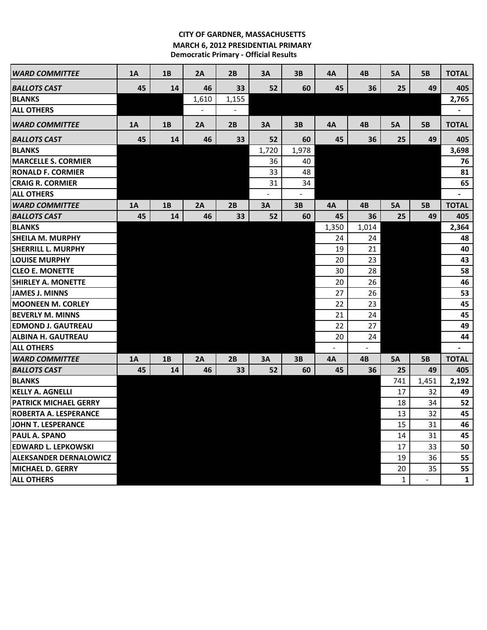## **CITY OF GARDNER, MASSACHUSETTS MARCH 6, 2012 PRESIDENTIAL PRIMARY Democratic Primary - Official Results**

| <b>WARD COMMITTEE</b>         | <b>1A</b> | 1B | 2A    | 2B    | 3A    | 3B    | 4A    | 4B    | <b>5A</b> | <b>5B</b> | <b>TOTAL</b>   |
|-------------------------------|-----------|----|-------|-------|-------|-------|-------|-------|-----------|-----------|----------------|
| <b>BALLOTS CAST</b>           | 45        | 14 | 46    | 33    | 52    | 60    | 45    | 36    | 25        | 49        | 405            |
| <b>BLANKS</b>                 |           |    | 1,610 | 1,155 |       |       |       |       |           |           | 2,765          |
| <b>ALL OTHERS</b>             |           |    |       |       |       |       |       |       |           |           |                |
| <b>WARD COMMITTEE</b>         | 1A        | 1B | 2A    | 2B    | 3A    | 3B    | 4A    | 4B    | <b>5A</b> | <b>5B</b> | <b>TOTAL</b>   |
| <b>BALLOTS CAST</b>           | 45        | 14 | 46    | 33    | 52    | 60    | 45    | 36    | 25        | 49        | 405            |
| <b>BLANKS</b>                 |           |    |       |       | 1,720 | 1,978 |       |       |           |           | 3,698          |
| <b>MARCELLE S. CORMIER</b>    |           |    |       |       | 36    | 40    |       |       |           |           | 76             |
| <b>RONALD F. CORMIER</b>      |           |    |       |       | 33    | 48    |       |       |           |           | 81             |
| <b>CRAIG R. CORMIER</b>       |           |    |       |       | 31    | 34    |       |       |           |           | 65             |
| <b>ALL OTHERS</b>             |           |    |       |       |       |       |       |       |           |           | $\blacksquare$ |
| <b>WARD COMMITTEE</b>         | 1A        | 1B | 2A    | 2B    | 3A    | 3B    | 4A    | 4B    | <b>5A</b> | <b>5B</b> | <b>TOTAL</b>   |
| <b>BALLOTS CAST</b>           | 45        | 14 | 46    | 33    | 52    | 60    | 45    | 36    | 25        | 49        | 405            |
| <b>BLANKS</b>                 |           |    |       |       |       |       | 1,350 | 1,014 |           |           | 2,364          |
| <b>SHEILA M. MURPHY</b>       |           |    |       |       |       |       | 24    | 24    |           |           | 48             |
| <b>SHERRILL L. MURPHY</b>     |           |    |       |       |       |       | 19    | 21    |           |           | 40             |
| <b>LOUISE MURPHY</b>          |           |    |       |       |       |       | 20    | 23    |           |           | 43             |
| <b>CLEO E. MONETTE</b>        |           |    |       |       |       |       | 30    | 28    |           |           | 58             |
| <b>SHIRLEY A. MONETTE</b>     |           |    |       |       |       |       | 20    | 26    |           |           | 46             |
| <b>JAMES J. MINNS</b>         |           |    |       |       |       |       | 27    | 26    |           |           | 53             |
| <b>MOONEEN M. CORLEY</b>      |           |    |       |       |       |       | 22    | 23    |           |           | 45             |
| <b>BEVERLY M. MINNS</b>       |           |    |       |       |       |       | 21    | 24    |           |           | 45             |
| <b>EDMOND J. GAUTREAU</b>     |           |    |       |       |       |       | 22    | 27    |           |           | 49             |
| <b>ALBINA H. GAUTREAU</b>     |           |    |       |       |       |       | 20    | 24    |           |           | 44             |
| <b>ALL OTHERS</b>             |           |    |       |       |       |       |       |       |           |           |                |
| <b>WARD COMMITTEE</b>         | <b>1A</b> | 1B | 2A    | 2B    | 3A    | 3B    | 4A    | 4B    | <b>5A</b> | <b>5B</b> | <b>TOTAL</b>   |
| <b>BALLOTS CAST</b>           | 45        | 14 | 46    | 33    | 52    | 60    | 45    | 36    | 25        | 49        | 405            |
| <b>BLANKS</b>                 |           |    |       |       |       |       |       |       | 741       | 1,451     | 2,192          |
| <b>KELLY A. AGNELLI</b>       |           |    |       |       |       |       |       |       | 17        | 32        | 49             |
| <b>PATRICK MICHAEL GERRY</b>  |           |    |       |       |       |       |       |       | 18        | 34        | 52             |
| <b>ROBERTA A. LESPERANCE</b>  |           |    |       |       |       |       |       |       | 13        | 32        | 45             |
| JOHN T. LESPERANCE            |           |    |       |       |       |       |       |       | 15        | 31        | 46             |
| PAUL A. SPANO                 |           |    |       |       |       |       |       |       | 14        | 31        | 45             |
| <b>EDWARD L. LEPKOWSKI</b>    |           |    |       |       |       |       |       |       | 17        | 33        | 50             |
| <b>ALEKSANDER DERNALOWICZ</b> |           |    |       |       |       |       |       |       | 19        | 36        | 55             |
| <b>MICHAEL D. GERRY</b>       |           |    |       |       |       |       |       |       | 20        | 35        | 55             |
| <b>ALL OTHERS</b>             |           |    |       |       |       |       |       |       | 1         |           | $\mathbf{1}$   |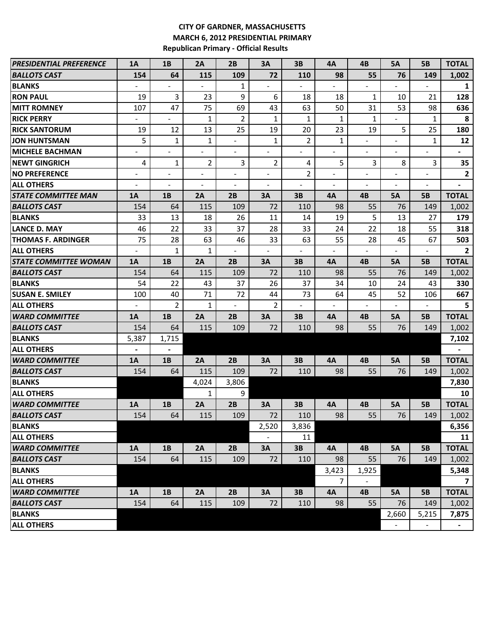## **CITY OF GARDNER, MASSACHUSETTS MARCH 6, 2012 PRESIDENTIAL PRIMARY Republican Primary - Official Results**

| <b>PRESIDENTIAL PREFERENCE</b>      | <b>1A</b>                    | 1B             | 2A                       | 2B                       | 3A                       | 3B                       | 4A                       | 4B                       | <b>5A</b>      | <b>5B</b>      | <b>TOTAL</b>             |
|-------------------------------------|------------------------------|----------------|--------------------------|--------------------------|--------------------------|--------------------------|--------------------------|--------------------------|----------------|----------------|--------------------------|
| <b>BALLOTS CAST</b>                 | 154                          | 64             | 115                      | 109                      | 72                       | 110                      | 98                       | 55                       | 76             | 149            | 1,002                    |
| <b>BLANKS</b>                       | $\frac{1}{2}$                |                |                          | 1                        |                          |                          | $\overline{\phantom{a}}$ |                          |                |                | $\mathbf{1}$             |
| <b>RON PAUL</b>                     | 19                           | $\overline{3}$ | 23                       | 9                        | 6                        | 18                       | 18                       | 1                        | 10             | 21             | 128                      |
| <b>MITT ROMNEY</b>                  | 107                          | 47             | 75                       | 69                       | 43                       | 63                       | 50                       | 31                       | 53             | 98             | 636                      |
| <b>RICK PERRY</b>                   |                              |                | $\mathbf{1}$             | 2                        | $\mathbf{1}$             | 1                        | 1                        | $\mathbf{1}$             |                | 1              | 8                        |
| <b>RICK SANTORUM</b>                | 19                           | 12             | 13                       | 25                       | 19                       | 20                       | 23                       | 19                       | 5              | 25             | 180                      |
| <b>JON HUNTSMAN</b>                 | 5                            | $\mathbf{1}$   | 1                        | ÷,                       | $\mathbf{1}$             | $\overline{2}$           | $\mathbf{1}$             |                          |                | 1              | 12                       |
| <b>MICHELE BACHMAN</b>              | $\overline{\phantom{a}}$     |                | $\blacksquare$           | $\overline{\phantom{a}}$ |                          | $\overline{a}$           | $\overline{\phantom{a}}$ | $\overline{\phantom{0}}$ | ÷              |                | $\blacksquare$           |
| <b>NEWT GINGRICH</b>                | 4                            | 1              | $\overline{2}$           | 3                        | $\overline{2}$           | 4                        | 5                        | 3                        | 8              | 3              | 35                       |
| <b>NO PREFERENCE</b>                | $\frac{1}{2}$                |                | $\blacksquare$           | $\blacksquare$           |                          | 2                        | $\blacksquare$           |                          | $\frac{1}{2}$  | ÷              | $\mathbf{2}$             |
| <b>ALL OTHERS</b>                   |                              |                | $\overline{\phantom{a}}$ | $\overline{a}$           |                          | $\overline{\phantom{a}}$ | $\blacksquare$           |                          | $\blacksquare$ | ÷              | $\blacksquare$           |
| <b>STATE COMMITTEE MAN</b>          | 1A                           | 1B             | 2A                       | 2B                       | 3A                       | 3B                       | 4A                       | 4B                       | <b>5A</b>      | <b>5B</b>      | <b>TOTAL</b>             |
| <b>BALLOTS CAST</b>                 | 154                          | 64             | 115                      | 109                      | 72                       | 110                      | 98                       | 55                       | 76             | 149            | 1,002                    |
| <b>BLANKS</b>                       | 33                           | 13             | 18                       | 26                       | 11                       | 14                       | 19                       | 5                        | 13             | 27             | 179                      |
| <b>LANCE D. MAY</b>                 | 46                           | 22             | 33                       | 37                       | 28                       | 33                       | 24                       | 22                       | 18             | 55             | 318                      |
| <b>THOMAS F. ARDINGER</b>           | 75                           | 28             | 63                       | 46                       | 33                       | 63                       | 55                       | 28                       | 45             | 67             | 503                      |
| <b>ALL OTHERS</b>                   | $\overline{a}$               | $\mathbf{1}$   | 1                        | $\overline{a}$           |                          |                          | $\overline{a}$           |                          | $\overline{a}$ |                | $\overline{2}$           |
| <i><b>STATE COMMITTEE WOMAN</b></i> | 1A                           | 1B             | 2A                       | 2B                       | 3A                       | 3B                       | 4A                       | 4B                       | <b>5A</b>      | <b>5B</b>      | <b>TOTAL</b>             |
| <b>BALLOTS CAST</b>                 | 154                          | 64             | 115                      | 109                      | 72                       | 110                      | 98                       | 55                       | 76             | 149            | 1,002                    |
| <b>BLANKS</b>                       | 54                           | 22             | 43                       | 37                       | 26                       | 37                       | 34                       | 10                       | 24             | 43             | 330                      |
| <b>SUSAN E. SMILEY</b>              | 100                          | 40             | 71                       | 72                       | 44                       | 73                       | 64                       | 45                       | 52             | 106            | 667                      |
| <b>ALL OTHERS</b>                   | $\overline{\phantom{a}}$     | $\overline{2}$ | 1                        | $\overline{a}$           | $\overline{2}$           |                          | $\overline{a}$           |                          |                |                | 5                        |
| <b>WARD COMMITTEE</b>               | 1A                           | 1B             | 2A                       | 2B                       | 3A                       | 3B                       | 4A                       | 4B                       | <b>5A</b>      | <b>5B</b>      | <b>TOTAL</b>             |
| <b>BALLOTS CAST</b>                 | 154                          | 64             | 115                      | 109                      | 72                       | 110                      | 98                       | 55                       | 76             | 149            | 1,002                    |
| <b>BLANKS</b>                       | 5,387                        | 1,715          |                          |                          |                          |                          |                          |                          |                |                | 7,102                    |
| <b>ALL OTHERS</b>                   | $\qquad \qquad \blacksquare$ | $\blacksquare$ |                          |                          |                          |                          |                          |                          |                |                |                          |
| <b>WARD COMMITTEE</b>               | 1A                           | 1B             | 2A                       | 2B                       | 3A                       | 3B                       | 4A                       | 4B                       | 5A             | <b>5B</b>      | <b>TOTAL</b>             |
| <b>BALLOTS CAST</b>                 | 154                          | 64             | 115                      | 109                      | 72                       | 110                      | 98                       | 55                       | 76             | 149            | 1,002                    |
| <b>BLANKS</b>                       |                              |                | 4,024                    | 3,806                    |                          |                          |                          |                          |                |                | 7,830                    |
| <b>ALL OTHERS</b>                   |                              |                | $\mathbf{1}$             | 9                        |                          |                          |                          |                          |                |                | 10                       |
| <b>WARD COMMITTEE</b>               | 1A                           | <b>1B</b>      | 2A                       | 2B                       | 3A                       | 3B                       | 4A                       | 4B                       | 5А             | <b>5B</b>      | <b>TOTAL</b>             |
| BALLOTS CAST                        | 154                          | 64             | 115                      | 109                      | 72                       | 110                      | 98                       | 55                       | 76             | 149            | 1,002                    |
| <b>BLANKS</b>                       |                              |                |                          |                          | 2,520                    | 3,836                    |                          |                          |                |                | 6,356                    |
| <b>ALL OTHERS</b>                   |                              |                |                          |                          | $\overline{\phantom{a}}$ | 11                       |                          |                          |                |                | 11                       |
| <b>WARD COMMITTEE</b>               | <b>1A</b>                    | 1B             | 2A                       | 2B                       | 3A                       | 3B                       | <b>4A</b>                | 4B                       | <b>5A</b>      | <b>5B</b>      | <b>TOTAL</b>             |
| <b>BALLOTS CAST</b>                 | 154                          | 64             | 115                      | 109                      | 72                       | 110                      | 98                       | 55                       | 76             | 149            | 1,002                    |
| <b>BLANKS</b>                       |                              |                |                          |                          |                          |                          | 3,423                    | 1,925                    |                |                | 5,348                    |
| <b>ALL OTHERS</b>                   |                              |                |                          |                          |                          |                          | 7                        |                          |                |                | $\overline{\phantom{a}}$ |
| <b>WARD COMMITTEE</b>               | <b>1A</b>                    | 1B             | 2A                       | 2B                       | 3A                       | 3B                       | <b>4A</b>                | 4B                       | <b>5A</b>      | <b>5B</b>      | <b>TOTAL</b>             |
| <b>BALLOTS CAST</b>                 | 154                          | 64             | 115                      | 109                      | 72                       | 110                      | 98                       | 55                       | 76             | 149            | 1,002                    |
| <b>BLANKS</b>                       |                              |                |                          |                          |                          |                          |                          |                          | 2,660          | 5,215          | 7,875                    |
| <b>ALL OTHERS</b>                   |                              |                |                          |                          |                          |                          |                          |                          |                | $\blacksquare$ | $\blacksquare$           |